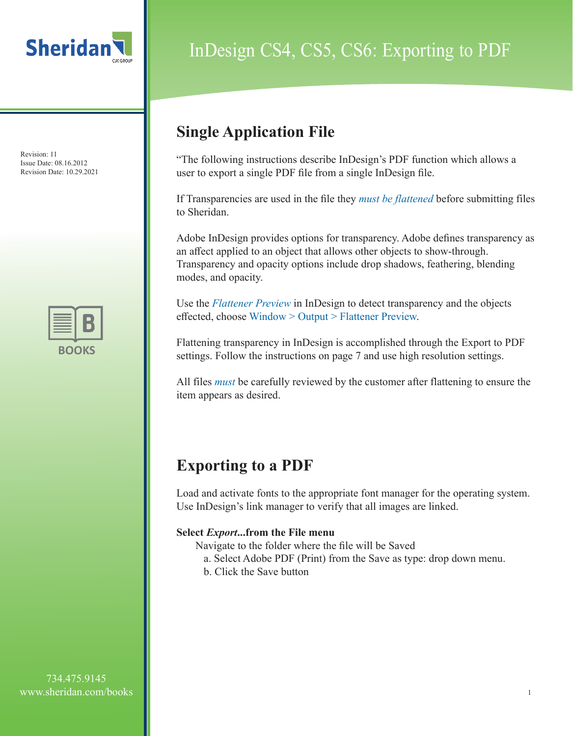



# InDesign CS4, CS5, CS6: Exporting to PDF

### **Single Application File**

"The following instructions describe InDesign's PDF function which allows a user to export a single PDF file from a single InDesign file.

If Transparencies are used in the file they *must be flattened* before submitting files to Sheridan.

Adobe InDesign provides options for transparency. Adobe defines transparency as an affect applied to an object that allows other objects to show-through. Transparency and opacity options include drop shadows, feathering, blending modes, and opacity.

Use the *Flattener Preview* in InDesign to detect transparency and the objects effected, choose Window > Output > Flattener Preview.

Flattening transparency in InDesign is accomplished through the Export to PDF settings. Follow the instructions on page 7 and use high resolution settings.

All files *must* be carefully reviewed by the customer after flattening to ensure the item appears as desired.

### **Exporting to a PDF**

Load and activate fonts to the appropriate font manager for the operating system. Use InDesign's link manager to verify that all images are linked.

#### **Select** *Export***...from the File menu**

Navigate to the folder where the file will be Saved

- a. Select Adobe PDF (Print) from the Save as type: drop down menu.
- b. Click the Save button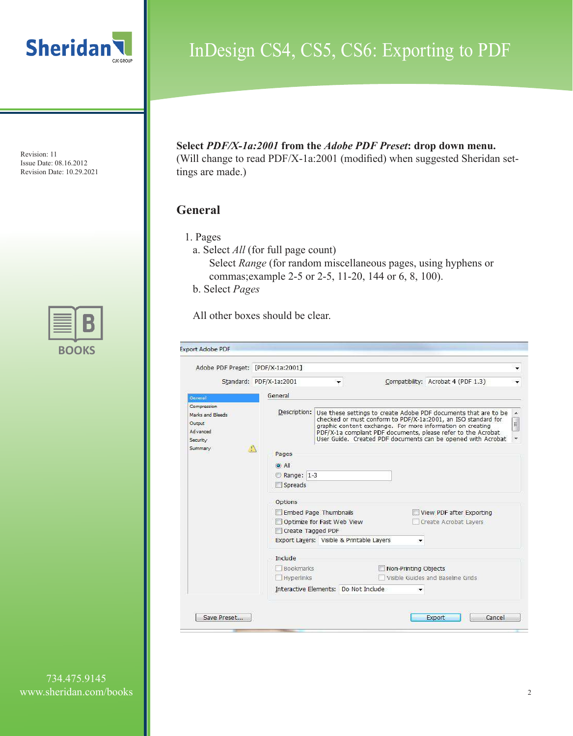



### InDesign CS4, CS5, CS6: Exporting to PDF

**Select** *PDF/X-1a:2001* **from the** *Adobe PDF Preset***: drop down menu.**  (Will change to read PDF/X-1a:2001 (modified) when suggested Sheridan settings are made.)

#### **General**

- 1. Pages
	- a. Select *All* (for full page count) Select *Range* (for random miscellaneous pages, using hyphens or commas;example 2-5 or 2-5, 11-20, 144 or 6, 8, 100). b. Select *Pages*

All other boxes should be clear.

| Adobe PDF Preset: [PDF/X-1a:2001]                                  |                                      |                                                     |                                                                                                                                                                                                                                                                                                                                 |                         |
|--------------------------------------------------------------------|--------------------------------------|-----------------------------------------------------|---------------------------------------------------------------------------------------------------------------------------------------------------------------------------------------------------------------------------------------------------------------------------------------------------------------------------------|-------------------------|
|                                                                    | Standard: PDF/X-1a:2001              |                                                     | Compatibility: Acrobat 4 (PDF 1.3)                                                                                                                                                                                                                                                                                              |                         |
| General                                                            | General                              |                                                     |                                                                                                                                                                                                                                                                                                                                 |                         |
| Compression<br>Marks and Bleeds<br>Output<br>Advanced<br>Security. | Description:                         |                                                     | Use these settings to create Adobe PDF documents that are to be<br>checked or must conform to PDF/X-1a:2001, an ISO standard for<br>graphic content exchange. For more information on creating<br>PDF/X-1a compliant PDF documents, please refer to the Acrobat<br>User Guide. Created PDF documents can be opened with Acrobat | ۸<br>$\frac{1}{2}$<br>÷ |
| $\mathcal{N}$<br>Summary                                           | Pages                                |                                                     |                                                                                                                                                                                                                                                                                                                                 |                         |
|                                                                    | $\odot$ All<br>Range: 1-3<br>Spreads |                                                     |                                                                                                                                                                                                                                                                                                                                 |                         |
|                                                                    | Options                              |                                                     |                                                                                                                                                                                                                                                                                                                                 |                         |
|                                                                    | Create Tagged PDF                    | Embed Page Thumbnails<br>Optimize for Fast Web View | View PDF after Exporting<br>Create Acrobat Layers                                                                                                                                                                                                                                                                               |                         |
|                                                                    |                                      | Export Layers: Visible & Printable Layers           |                                                                                                                                                                                                                                                                                                                                 |                         |
|                                                                    | Include                              |                                                     |                                                                                                                                                                                                                                                                                                                                 |                         |
|                                                                    | Bookmarks<br>Hyperlinks              |                                                     | Non-Printing Objects<br>Visible Guides and Baseline Grids                                                                                                                                                                                                                                                                       |                         |
|                                                                    |                                      | Interactive Elements: Do Not Include                |                                                                                                                                                                                                                                                                                                                                 |                         |
|                                                                    |                                      |                                                     |                                                                                                                                                                                                                                                                                                                                 |                         |
| Save Preset                                                        |                                      |                                                     | Cancel<br>Export                                                                                                                                                                                                                                                                                                                |                         |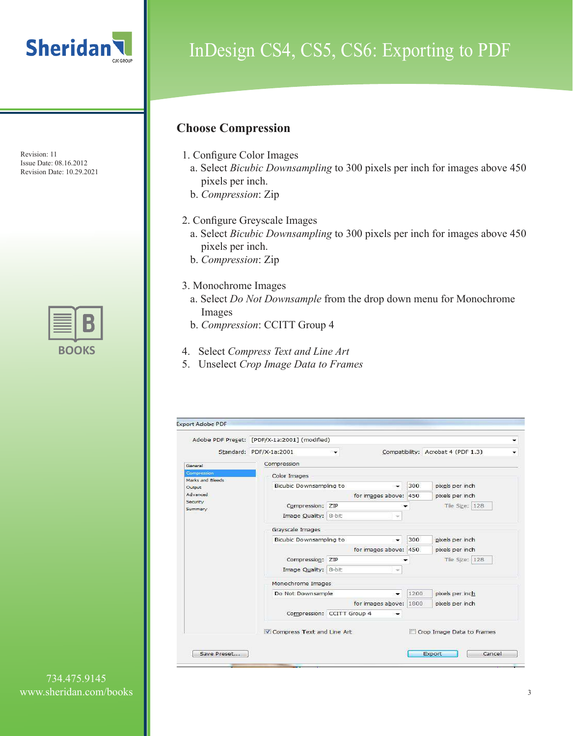

## InDesign CS4, CS5, CS6: Exporting to PDF

#### **Choose Compression**

- 1. Configure Color Images
	- a. Select *Bicubic Downsampling* to 300 pixels per inch for images above 450 pixels per inch.
	- b. *Compression*: Zip
- 2. Configure Greyscale Images
	- a. Select *Bicubic Downsampling* to 300 pixels per inch for images above 450 pixels per inch.
	- b. *Compression*: Zip
- 3. Monochrome Images
	- a. Select *Do Not Downsample* from the drop down menu for Monochrome Images
	- b. *Compression*: CCITT Group 4
- 4. Select *Compress Text and Line Art*
- 5. Unselect *Crop Image Data to Frames*

| for images above: 450        | 300                        | Compatibility: Acrobat 4 (PDF 1.3)<br>pixels per inch |  |  |  |  |
|------------------------------|----------------------------|-------------------------------------------------------|--|--|--|--|
|                              |                            |                                                       |  |  |  |  |
|                              |                            |                                                       |  |  |  |  |
|                              |                            |                                                       |  |  |  |  |
|                              |                            |                                                       |  |  |  |  |
|                              |                            | pixels per inch                                       |  |  |  |  |
|                              |                            | Tile Size: 128                                        |  |  |  |  |
|                              |                            |                                                       |  |  |  |  |
|                              |                            |                                                       |  |  |  |  |
|                              | 300                        | pixels per inch                                       |  |  |  |  |
|                              |                            | pixels per inch                                       |  |  |  |  |
|                              |                            | Tile Size: 128                                        |  |  |  |  |
| Image Quality: 8-bit<br>nje. |                            |                                                       |  |  |  |  |
| Monochrome Images            |                            |                                                       |  |  |  |  |
| ्रक                          | 1200                       | pixels per inch                                       |  |  |  |  |
|                              |                            | pixels per inch                                       |  |  |  |  |
| $\rightarrow$                |                            |                                                       |  |  |  |  |
|                              |                            | Crop Image Data to Frames                             |  |  |  |  |
|                              | Compression: CCITT Group 4 | for images above: 450<br>for images above: 1800       |  |  |  |  |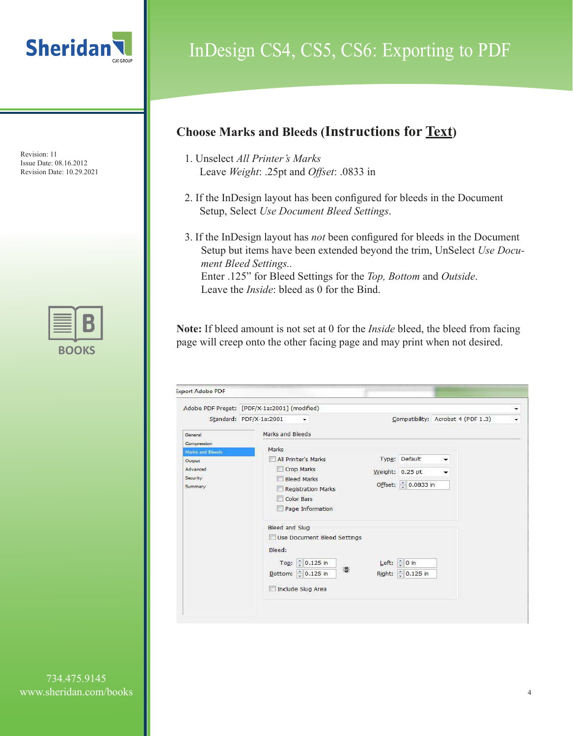

## InDesign CS4, CS5, CS6: Exporting to PDF

#### **Choose Marks and Bleeds (Instructions for Text)**

- 1. Unselect *All Printer's Marks* Leave *Weight*: .25pt and *Offset*: .0833 in
- 2. If the InDesign layout has been configured for bleeds in the Document Setup, Select *Use Document Bleed Settings*.
- 3. If the InDesign layout has *not* been configured for bleeds in the Document Setup but items have been extended beyond the trim, UnSelect *Use Document Bleed Settings..* Enter .125" for Bleed Settings for the *Top, Bottom* and *Outside*. Leave the *Inside*: bleed as 0 for the Bind.

**Note:** If bleed amount is not set at 0 for the *Inside* bleed, the bleed from facing page will creep onto the other facing page and may print when not desired.

| <b>Export Adobe PDF</b>                                                                 |                                                                                                                                                          |                                                               |                                              |
|-----------------------------------------------------------------------------------------|----------------------------------------------------------------------------------------------------------------------------------------------------------|---------------------------------------------------------------|----------------------------------------------|
|                                                                                         | Adobe PDF Preset: [PDF/X-1a:2001] (modified)<br>Standard: PDF/X-1a:2001<br>▼                                                                             |                                                               | ▼<br>Compatibility: Acrobat 4 (PDF 1.3)<br>۰ |
| General<br>Compression<br>Marks and Bleeds<br>Output<br>Advanced<br>Security<br>Summary | Marks and Bleeds<br>Marks<br>All Printer's Marks<br>Crop Marks<br><b>Bleed Marks</b><br><b>Registration Marks</b><br>Color Bars<br>Page Information<br>H | Type: Default<br>Weight: 0.25 pt<br>Offset: 0.0833 in         |                                              |
|                                                                                         | Bleed and Slug<br>Use Document Bleed Settings<br>Bleed:<br>$\frac{4}{3}$ 0.125 in<br>Top:<br>Bottom: 0.125 in<br>Include Slug Area                       | Left: $\left \frac{1}{2}\right $ 0 in<br>沿<br>Right: 0.125 in |                                              |

734.475.9145 www.sheridan.com/books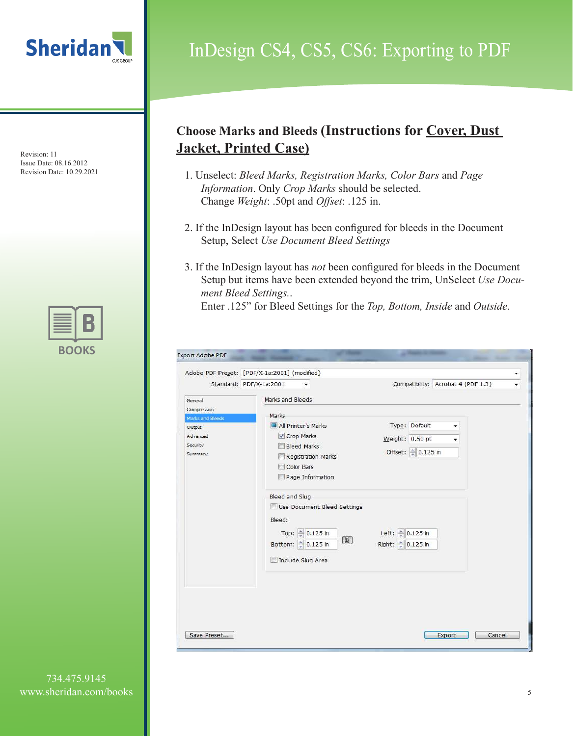

### InDesign CS4, CS5, CS6: Exporting to PDF

#### **Choose Marks and Bleeds (Instructions for Cover, Dust Jacket, Printed Case)**

- 1. Unselect: *Bleed Marks, Registration Marks, Color Bars* and *Page Information*. Only *Crop Marks* should be selected. Change *Weight*: .50pt and *Offset*: .125 in.
- 2. If the InDesign layout has been configured for bleeds in the Document Setup, Select *Use Document Bleed Settings*
- 3. If the InDesign layout has *not* been configured for bleeds in the Document Setup but items have been extended beyond the trim, UnSelect *Use Document Bleed Settings.*.

Enter .125" for Bleed Settings for the *Top, Bottom, Inside* and *Outside*.

|                                                               | Adobe PDF Preset: [PDF/X-1a:2001] (modified)                                                                                                                                                                                                        |                                                                                           |                                    |
|---------------------------------------------------------------|-----------------------------------------------------------------------------------------------------------------------------------------------------------------------------------------------------------------------------------------------------|-------------------------------------------------------------------------------------------|------------------------------------|
| Standard: PDF/X-1a:2001                                       | ▼                                                                                                                                                                                                                                                   |                                                                                           | Compatibility: Acrobat 4 (PDF 1.3) |
| General<br>Compression                                        | Marks and Bleeds<br>Marks                                                                                                                                                                                                                           |                                                                                           |                                    |
| Marks and Bleeds<br>Output<br>Advanced<br>Security<br>Summary | All Printer's Marks<br>Crop Marks<br><b>Bleed Marks</b><br>Registration Marks<br>Color Bars<br>Page Information<br>Bleed and Slug<br>Use Document Bleed Settings<br>Bleed:<br>Top: 0.125 in<br>$\circledR$<br>Bottom: 0.125 in<br>Include Slug Area | Type: Default<br>Weight: 0.50 pt<br>Offset: 0.125 in<br>Left: 0.125 in<br>Right: 0.125 in | ۰<br>۰                             |
| Save Preset                                                   |                                                                                                                                                                                                                                                     |                                                                                           | Cancel<br>Export                   |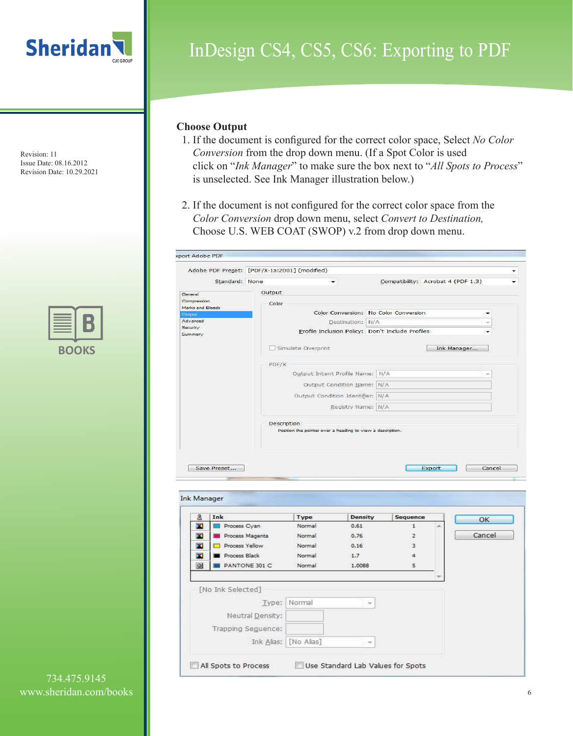



# InDesign CS4, CS5, CS6: Exporting to PDF

#### **Choose Output**

- 1. If the document is configured for the correct color space, Select *No Color Conversion* from the drop down menu. (If a Spot Color is used click on "*Ink Manager*" to make sure the box next to "*All Spots to Process*" is unselected. See Ink Manager illustration below.)
- 2. If the document is not configured for the correct color space from the *Color Conversion* drop down menu, select *Convert to Destination,*  Choose U.S. WEB COAT (SWOP) v.2 from drop down menu.

|                         | Standard: None     |                  |                                                            | $\overline{\phantom{0}}$         | Compatibility: Acrobat 4 (PDF 1.3)               |        |             |                          |
|-------------------------|--------------------|------------------|------------------------------------------------------------|----------------------------------|--------------------------------------------------|--------|-------------|--------------------------|
|                         |                    |                  |                                                            |                                  |                                                  |        |             |                          |
| General<br>Compression  |                    |                  | Output                                                     |                                  |                                                  |        |             |                          |
| Marks and Bleeds        |                    |                  | Color                                                      |                                  |                                                  |        |             |                          |
| <b>Cuttout</b>          |                    |                  |                                                            |                                  | Color Conversion: No Color Conversion            |        |             | $\overline{\phantom{0}}$ |
| Advanced                |                    |                  |                                                            | Destination: N/A                 |                                                  |        |             | ÷                        |
| Security<br>Summary     |                    |                  |                                                            |                                  | Profile Inclusion Policy: Don't Include Profiles |        |             |                          |
|                         |                    |                  | Simulate Overprint                                         |                                  |                                                  |        | Ink Manager |                          |
|                         |                    |                  | PDF/X                                                      |                                  |                                                  |        |             |                          |
|                         |                    |                  |                                                            | Output Intent Profile Name: N/A  |                                                  |        |             |                          |
|                         |                    |                  |                                                            | Output Condition Name: N/A       |                                                  |        |             |                          |
|                         |                    |                  |                                                            | Output Condition Identifier: N/A |                                                  |        |             |                          |
|                         |                    |                  |                                                            | Registry Name: N/A               |                                                  |        |             |                          |
|                         |                    |                  |                                                            |                                  |                                                  |        |             |                          |
|                         |                    |                  | Description                                                |                                  |                                                  |        |             |                          |
|                         | Save Preset        |                  | Position the pointer over a heading to view a description. |                                  |                                                  | Export |             | Cancel                   |
|                         |                    |                  |                                                            |                                  |                                                  |        |             |                          |
| 3                       | Ink                |                  | <b>Type</b>                                                | <b>Density</b>                   | Sequence                                         |        |             | OK                       |
| <b>Ink Manager</b><br>× | Process Cyan       |                  | Normal                                                     | 0.61                             | $\mathbf{1}$                                     |        |             |                          |
| ×                       | Process Magenta    |                  | Normal                                                     | 0.76                             | $\overline{2}$                                   |        |             | Cancel                   |
| ×                       | Process Yellow     |                  | Normal                                                     | 0.16                             | 3                                                |        |             |                          |
| ×                       | Process Black      |                  | Normal                                                     | 1.7                              | $\overline{4}$                                   |        |             |                          |
| $\circ$                 | PANTONE 301 C      |                  | Normal                                                     | 1.0088                           | 5                                                |        |             |                          |
|                         |                    |                  |                                                            |                                  |                                                  |        |             |                          |
|                         | [No Ink Selected]  |                  |                                                            |                                  |                                                  |        |             |                          |
|                         |                    |                  | Normal<br>Type:                                            |                                  |                                                  |        |             |                          |
|                         |                    | Neutral Density: |                                                            |                                  |                                                  |        |             |                          |
|                         | Trapping Seguence: |                  |                                                            |                                  |                                                  |        |             |                          |
|                         |                    | Ink Alias:       | [No Alias]                                                 |                                  | v                                                |        |             |                          |